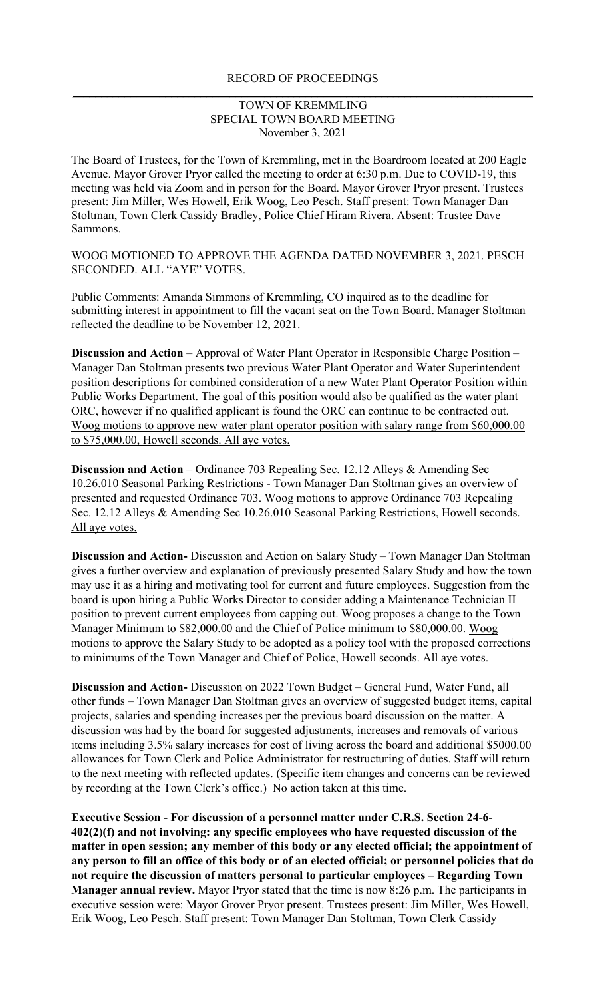## RECORD OF PROCEEDINGS **\_\_\_\_\_\_\_\_\_\_\_\_\_\_\_\_\_\_\_\_\_\_\_\_\_\_\_\_\_\_\_\_\_\_\_\_\_\_\_\_\_\_\_\_\_\_\_\_\_\_\_\_\_\_\_\_\_\_\_\_\_\_\_\_\_\_\_\_\_\_\_\_\_\_\_\_\_\_\_**

## TOWN OF KREMMLING SPECIAL TOWN BOARD MEETING November 3, 2021

The Board of Trustees, for the Town of Kremmling, met in the Boardroom located at 200 Eagle Avenue. Mayor Grover Pryor called the meeting to order at 6:30 p.m. Due to COVID-19, this meeting was held via Zoom and in person for the Board. Mayor Grover Pryor present. Trustees present: Jim Miller, Wes Howell, Erik Woog, Leo Pesch. Staff present: Town Manager Dan Stoltman, Town Clerk Cassidy Bradley, Police Chief Hiram Rivera. Absent: Trustee Dave Sammons.

WOOG MOTIONED TO APPROVE THE AGENDA DATED NOVEMBER 3, 2021. PESCH SECONDED. ALL "AYE" VOTES.

Public Comments: Amanda Simmons of Kremmling, CO inquired as to the deadline for submitting interest in appointment to fill the vacant seat on the Town Board. Manager Stoltman reflected the deadline to be November 12, 2021.

**Discussion and Action** – Approval of Water Plant Operator in Responsible Charge Position – Manager Dan Stoltman presents two previous Water Plant Operator and Water Superintendent position descriptions for combined consideration of a new Water Plant Operator Position within Public Works Department. The goal of this position would also be qualified as the water plant ORC, however if no qualified applicant is found the ORC can continue to be contracted out. Woog motions to approve new water plant operator position with salary range from \$60,000.00 to \$75,000.00, Howell seconds. All aye votes.

**Discussion and Action** – Ordinance 703 Repealing Sec. 12.12 Alleys & Amending Sec 10.26.010 Seasonal Parking Restrictions - Town Manager Dan Stoltman gives an overview of presented and requested Ordinance 703. Woog motions to approve Ordinance 703 Repealing Sec. 12.12 Alleys & Amending Sec 10.26.010 Seasonal Parking Restrictions, Howell seconds. All aye votes.

**Discussion and Action-** Discussion and Action on Salary Study – Town Manager Dan Stoltman gives a further overview and explanation of previously presented Salary Study and how the town may use it as a hiring and motivating tool for current and future employees. Suggestion from the board is upon hiring a Public Works Director to consider adding a Maintenance Technician II position to prevent current employees from capping out. Woog proposes a change to the Town Manager Minimum to \$82,000.00 and the Chief of Police minimum to \$80,000.00. Woog motions to approve the Salary Study to be adopted as a policy tool with the proposed corrections to minimums of the Town Manager and Chief of Police, Howell seconds. All aye votes.

**Discussion and Action-** Discussion on 2022 Town Budget – General Fund, Water Fund, all other funds – Town Manager Dan Stoltman gives an overview of suggested budget items, capital projects, salaries and spending increases per the previous board discussion on the matter. A discussion was had by the board for suggested adjustments, increases and removals of various items including 3.5% salary increases for cost of living across the board and additional \$5000.00 allowances for Town Clerk and Police Administrator for restructuring of duties. Staff will return to the next meeting with reflected updates. (Specific item changes and concerns can be reviewed by recording at the Town Clerk's office.) No action taken at this time.

**Executive Session - For discussion of a personnel matter under C.R.S. Section 24-6- 402(2)(f) and not involving: any specific employees who have requested discussion of the matter in open session; any member of this body or any elected official; the appointment of any person to fill an office of this body or of an elected official; or personnel policies that do not require the discussion of matters personal to particular employees – Regarding Town Manager annual review.** Mayor Pryor stated that the time is now 8:26 p.m. The participants in executive session were: Mayor Grover Pryor present. Trustees present: Jim Miller, Wes Howell, Erik Woog, Leo Pesch. Staff present: Town Manager Dan Stoltman, Town Clerk Cassidy